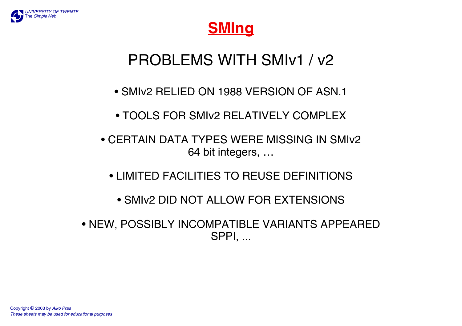



# PROBLEMS WITH SMIv1 / v2

- SMIv2 RELIED ON 1988 VERSION OF ASN.1
- TOOLS FOR SMIv2 RELATIVELY COMPLEX
- CERTAIN DATA TYPES WERE MISSING IN SMIv264 bit integers, …
	- LIMITED FACILITIES TO REUSE DEFINITIONS
		- SMIv2 DID NOT ALLOW FOR EXTENSIONS
- NEW, POSSIBLY INCOMPATIBLE VARIANTS APPEARED SPPI, ...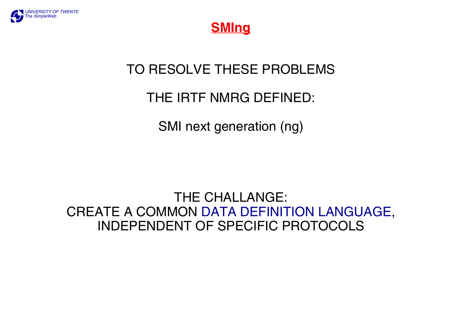



#### TO RESOLVE THESE PROBLEMS

#### THE IRTF NMRG DEFINED:

SMI next generation (ng)

THE CHALLANGE: CREATE A COMMON DATA DEFINITION LANGUAGE, INDEPENDENT OF SPECIFIC PROTOCOLS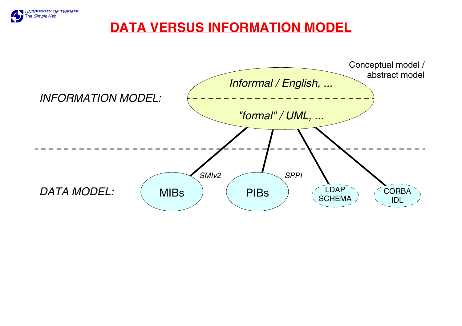

#### **DATA VERSUS INFORMATION MODEL**

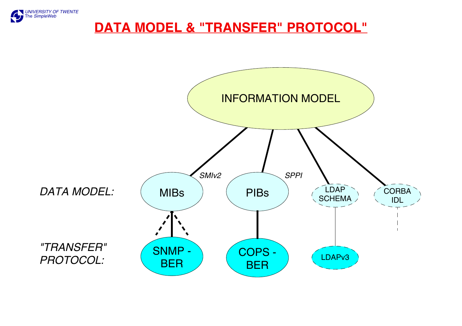

#### **DATA MODEL & "TRANSFER" PROTOCOL"**

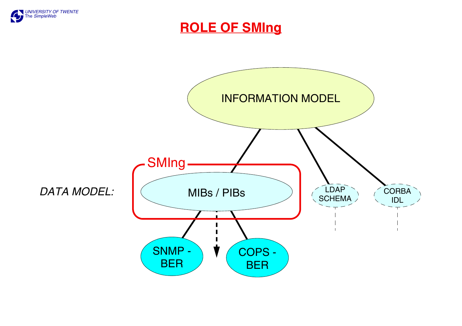

**ROLE OF SMIng**

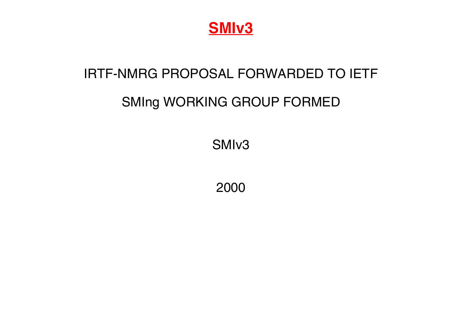

#### IRTF-NMRG PROPOSAL FORWARDED TO IETF

## SMIng WORKING GROUP FORMED

SMIv3

2000